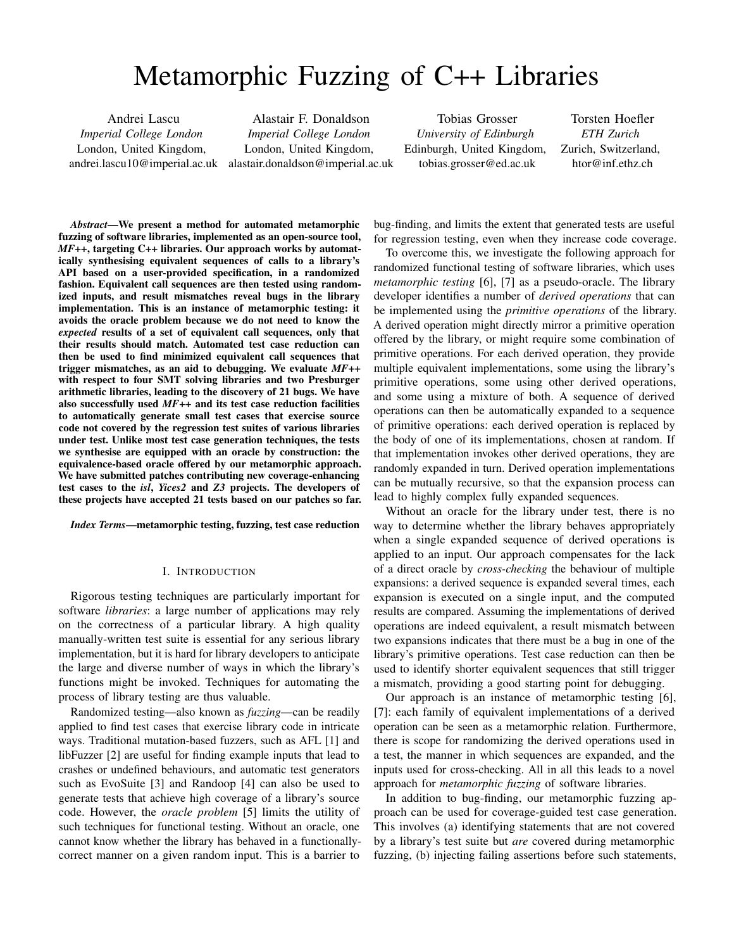# Metamorphic Fuzzing of C++ Libraries

Andrei Lascu *Imperial College London* London, United Kingdom, andrei.lascu10@imperial.ac.uk

Alastair F. Donaldson *Imperial College London* London, United Kingdom, alastair.donaldson@imperial.ac.uk

Tobias Grosser *University of Edinburgh* Edinburgh, United Kingdom, tobias.grosser@ed.ac.uk

Torsten Hoefler *ETH Zurich* Zurich, Switzerland, htor@inf.ethz.ch

*Abstract*—We present a method for automated metamorphic fuzzing of software libraries, implemented as an open-source tool, *MF++*, targeting C++ libraries. Our approach works by automatically synthesising equivalent sequences of calls to a library's API based on a user-provided specification, in a randomized fashion. Equivalent call sequences are then tested using randomized inputs, and result mismatches reveal bugs in the library implementation. This is an instance of metamorphic testing: it avoids the oracle problem because we do not need to know the *expected* results of a set of equivalent call sequences, only that their results should match. Automated test case reduction can then be used to find minimized equivalent call sequences that trigger mismatches, as an aid to debugging. We evaluate *MF++* with respect to four SMT solving libraries and two Presburger arithmetic libraries, leading to the discovery of 21 bugs. We have also successfully used *MF++* and its test case reduction facilities to automatically generate small test cases that exercise source code not covered by the regression test suites of various libraries under test. Unlike most test case generation techniques, the tests we synthesise are equipped with an oracle by construction: the equivalence-based oracle offered by our metamorphic approach. We have submitted patches contributing new coverage-enhancing test cases to the *isl*, *Yices2* and *Z3* projects. The developers of these projects have accepted 21 tests based on our patches so far.

*Index Terms*—metamorphic testing, fuzzing, test case reduction

## I. INTRODUCTION

Rigorous testing techniques are particularly important for software *libraries*: a large number of applications may rely on the correctness of a particular library. A high quality manually-written test suite is essential for any serious library implementation, but it is hard for library developers to anticipate the large and diverse number of ways in which the library's functions might be invoked. Techniques for automating the process of library testing are thus valuable.

Randomized testing—also known as *fuzzing*—can be readily applied to find test cases that exercise library code in intricate ways. Traditional mutation-based fuzzers, such as AFL [\[1\]](#page-10-0) and libFuzzer [\[2\]](#page-10-1) are useful for finding example inputs that lead to crashes or undefined behaviours, and automatic test generators such as EvoSuite [\[3\]](#page-10-2) and Randoop [\[4\]](#page-10-3) can also be used to generate tests that achieve high coverage of a library's source code. However, the *oracle problem* [\[5\]](#page-10-4) limits the utility of such techniques for functional testing. Without an oracle, one cannot know whether the library has behaved in a functionallycorrect manner on a given random input. This is a barrier to

bug-finding, and limits the extent that generated tests are useful for regression testing, even when they increase code coverage.

To overcome this, we investigate the following approach for randomized functional testing of software libraries, which uses *metamorphic testing* [\[6\]](#page-10-5), [\[7\]](#page-10-6) as a pseudo-oracle. The library developer identifies a number of *derived operations* that can be implemented using the *primitive operations* of the library. A derived operation might directly mirror a primitive operation offered by the library, or might require some combination of primitive operations. For each derived operation, they provide multiple equivalent implementations, some using the library's primitive operations, some using other derived operations, and some using a mixture of both. A sequence of derived operations can then be automatically expanded to a sequence of primitive operations: each derived operation is replaced by the body of one of its implementations, chosen at random. If that implementation invokes other derived operations, they are randomly expanded in turn. Derived operation implementations can be mutually recursive, so that the expansion process can lead to highly complex fully expanded sequences.

Without an oracle for the library under test, there is no way to determine whether the library behaves appropriately when a single expanded sequence of derived operations is applied to an input. Our approach compensates for the lack of a direct oracle by *cross-checking* the behaviour of multiple expansions: a derived sequence is expanded several times, each expansion is executed on a single input, and the computed results are compared. Assuming the implementations of derived operations are indeed equivalent, a result mismatch between two expansions indicates that there must be a bug in one of the library's primitive operations. Test case reduction can then be used to identify shorter equivalent sequences that still trigger a mismatch, providing a good starting point for debugging.

Our approach is an instance of metamorphic testing [\[6\]](#page-10-5), [\[7\]](#page-10-6): each family of equivalent implementations of a derived operation can be seen as a metamorphic relation. Furthermore, there is scope for randomizing the derived operations used in a test, the manner in which sequences are expanded, and the inputs used for cross-checking. All in all this leads to a novel approach for *metamorphic fuzzing* of software libraries.

In addition to bug-finding, our metamorphic fuzzing approach can be used for coverage-guided test case generation. This involves (a) identifying statements that are not covered by a library's test suite but *are* covered during metamorphic fuzzing, (b) injecting failing assertions before such statements,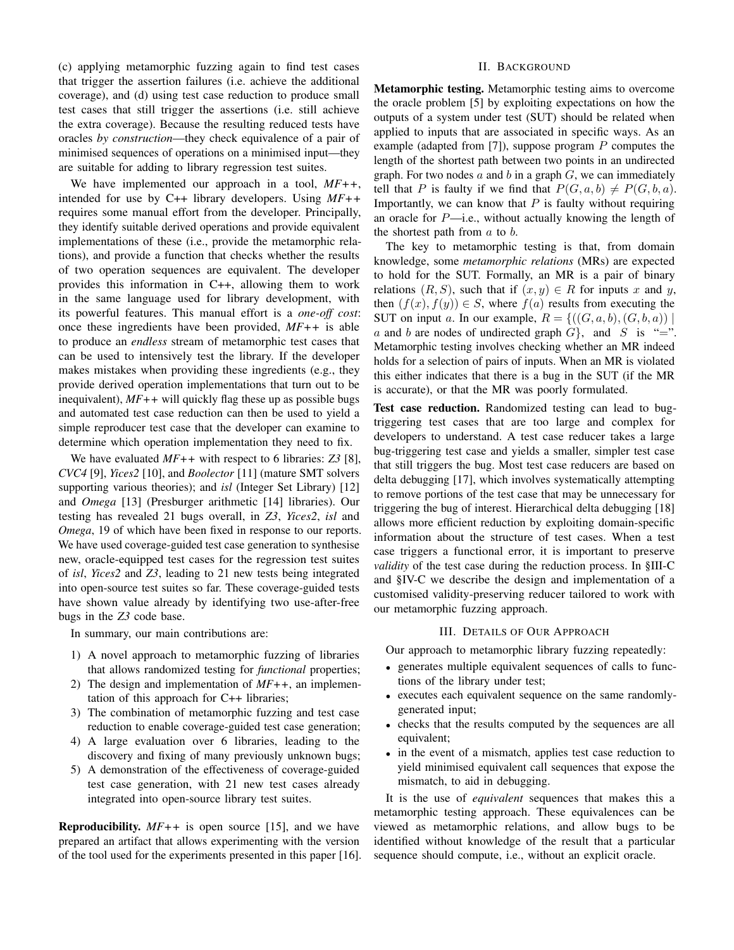(c) applying metamorphic fuzzing again to find test cases that trigger the assertion failures (i.e. achieve the additional coverage), and (d) using test case reduction to produce small test cases that still trigger the assertions (i.e. still achieve the extra coverage). Because the resulting reduced tests have oracles *by construction*—they check equivalence of a pair of minimised sequences of operations on a minimised input—they are suitable for adding to library regression test suites.

We have implemented our approach in a tool, *MF++*, intended for use by C++ library developers. Using *MF++* requires some manual effort from the developer. Principally, they identify suitable derived operations and provide equivalent implementations of these (i.e., provide the metamorphic relations), and provide a function that checks whether the results of two operation sequences are equivalent. The developer provides this information in C++, allowing them to work in the same language used for library development, with its powerful features. This manual effort is a *one-off cost*: once these ingredients have been provided, *MF++* is able to produce an *endless* stream of metamorphic test cases that can be used to intensively test the library. If the developer makes mistakes when providing these ingredients (e.g., they provide derived operation implementations that turn out to be inequivalent), *MF++* will quickly flag these up as possible bugs and automated test case reduction can then be used to yield a simple reproducer test case that the developer can examine to determine which operation implementation they need to fix.

We have evaluated *MF++* with respect to 6 libraries: *Z3* [\[8\]](#page-10-7), *CVC4* [\[9\]](#page-10-8), *Yices2* [\[10\]](#page-10-9), and *Boolector* [\[11\]](#page-10-10) (mature SMT solvers supporting various theories); and *isl* (Integer Set Library) [\[12\]](#page-10-11) and *Omega* [\[13\]](#page-10-12) (Presburger arithmetic [\[14\]](#page-10-13) libraries). Our testing has revealed 21 bugs overall, in *Z3*, *Yices2*, *isl* and *Omega*, 19 of which have been fixed in response to our reports. We have used coverage-guided test case generation to synthesise new, oracle-equipped test cases for the regression test suites of *isl*, *Yices2* and *Z3*, leading to 21 new tests being integrated into open-source test suites so far. These coverage-guided tests have shown value already by identifying two use-after-free bugs in the *Z3* code base.

In summary, our main contributions are:

- 1) A novel approach to metamorphic fuzzing of libraries that allows randomized testing for *functional* properties;
- 2) The design and implementation of *MF++*, an implementation of this approach for C++ libraries;
- 3) The combination of metamorphic fuzzing and test case reduction to enable coverage-guided test case generation;
- 4) A large evaluation over 6 libraries, leading to the discovery and fixing of many previously unknown bugs;
- 5) A demonstration of the effectiveness of coverage-guided test case generation, with 21 new test cases already integrated into open-source library test suites.

Reproducibility. *MF++* is open source [\[15\]](#page-10-14), and we have prepared an artifact that allows experimenting with the version of the tool used for the experiments presented in this paper [\[16\]](#page-10-15).

## II. BACKGROUND

<span id="page-1-0"></span>Metamorphic testing. Metamorphic testing aims to overcome the oracle problem [\[5\]](#page-10-4) by exploiting expectations on how the outputs of a system under test (SUT) should be related when applied to inputs that are associated in specific ways. As an example (adapted from [\[7\]](#page-10-6)), suppose program  $P$  computes the length of the shortest path between two points in an undirected graph. For two nodes  $a$  and  $b$  in a graph  $G$ , we can immediately tell that P is faulty if we find that  $P(G, a, b) \neq P(G, b, a)$ . Importantly, we can know that  $P$  is faulty without requiring an oracle for  $P$ —i.e., without actually knowing the length of the shortest path from  $a$  to  $b$ .

The key to metamorphic testing is that, from domain knowledge, some *metamorphic relations* (MRs) are expected to hold for the SUT. Formally, an MR is a pair of binary relations  $(R, S)$ , such that if  $(x, y) \in R$  for inputs x and y, then  $(f(x), f(y)) \in S$ , where  $f(a)$  results from executing the SUT on input a. In our example,  $R = \{((G, a, b), (G, b, a))\}\$ a and b are nodes of undirected graph  $G$ , and S is "=". Metamorphic testing involves checking whether an MR indeed holds for a selection of pairs of inputs. When an MR is violated this either indicates that there is a bug in the SUT (if the MR is accurate), or that the MR was poorly formulated.

Test case reduction. Randomized testing can lead to bugtriggering test cases that are too large and complex for developers to understand. A test case reducer takes a large bug-triggering test case and yields a smaller, simpler test case that still triggers the bug. Most test case reducers are based on delta debugging [\[17\]](#page-10-16), which involves systematically attempting to remove portions of the test case that may be unnecessary for triggering the bug of interest. Hierarchical delta debugging [\[18\]](#page-10-17) allows more efficient reduction by exploiting domain-specific information about the structure of test cases. When a test case triggers a functional error, it is important to preserve *validity* of the test case during the reduction process. In [§III-C](#page-3-0) and [§IV-C](#page-5-0) we describe the design and implementation of a customised validity-preserving reducer tailored to work with our metamorphic fuzzing approach.

## III. DETAILS OF OUR APPROACH

<span id="page-1-1"></span>Our approach to metamorphic library fuzzing repeatedly:

- generates multiple equivalent sequences of calls to functions of the library under test;
- executes each equivalent sequence on the same randomlygenerated input;
- checks that the results computed by the sequences are all equivalent;
- in the event of a mismatch, applies test case reduction to yield minimised equivalent call sequences that expose the mismatch, to aid in debugging.

It is the use of *equivalent* sequences that makes this a metamorphic testing approach. These equivalences can be viewed as metamorphic relations, and allow bugs to be identified without knowledge of the result that a particular sequence should compute, i.e., without an explicit oracle.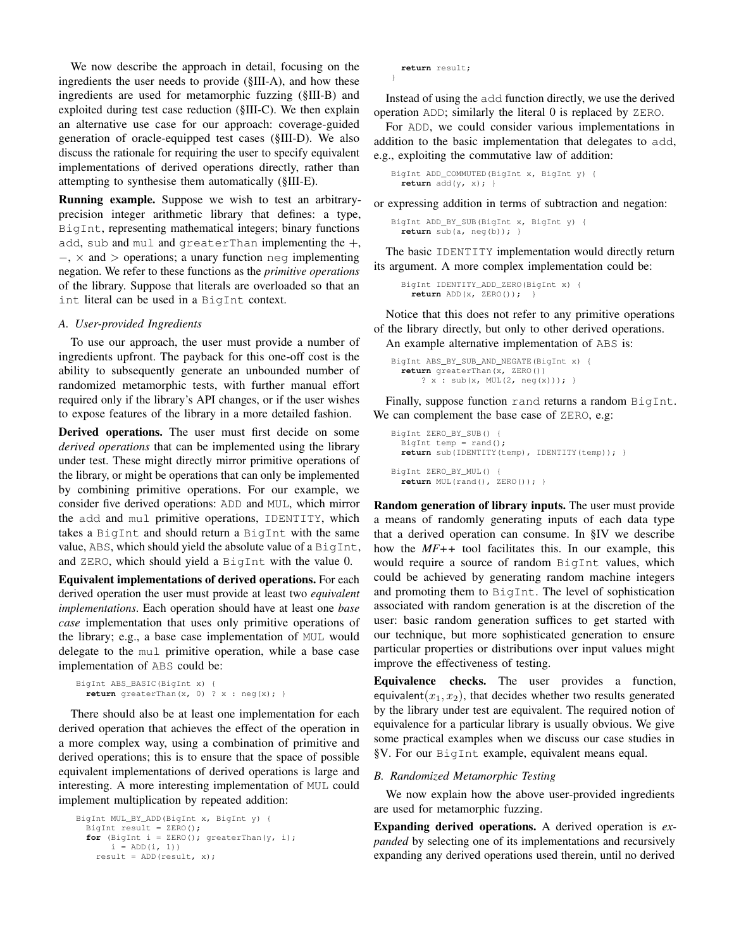We now describe the approach in detail, focusing on the ingredients the user needs to provide [\(§III-A\)](#page-2-0), and how these ingredients are used for metamorphic fuzzing [\(§III-B\)](#page-2-1) and exploited during test case reduction [\(§III-C\)](#page-3-0). We then explain an alternative use case for our approach: coverage-guided generation of oracle-equipped test cases [\(§III-D\)](#page-3-1). We also discuss the rationale for requiring the user to specify equivalent implementations of derived operations directly, rather than attempting to synthesise them automatically [\(§III-E\)](#page-4-0).

Running example. Suppose we wish to test an arbitraryprecision integer arithmetic library that defines: a type, BigInt, representing mathematical integers; binary functions add, sub and mul and greaterThan implementing the  $+,$ −, × and > operations; a unary function neg implementing negation. We refer to these functions as the *primitive operations* of the library. Suppose that literals are overloaded so that an int literal can be used in a BigInt context.

## <span id="page-2-0"></span>*A. User-provided Ingredients*

To use our approach, the user must provide a number of ingredients upfront. The payback for this one-off cost is the ability to subsequently generate an unbounded number of randomized metamorphic tests, with further manual effort required only if the library's API changes, or if the user wishes to expose features of the library in a more detailed fashion.

Derived operations. The user must first decide on some *derived operations* that can be implemented using the library under test. These might directly mirror primitive operations of the library, or might be operations that can only be implemented by combining primitive operations. For our example, we consider five derived operations: ADD and MUL, which mirror the add and mul primitive operations, IDENTITY, which takes a BigInt and should return a BigInt with the same value, ABS, which should yield the absolute value of a BigInt, and ZERO, which should yield a BigInt with the value 0.

Equivalent implementations of derived operations. For each derived operation the user must provide at least two *equivalent implementations*. Each operation should have at least one *base case* implementation that uses only primitive operations of the library; e.g., a base case implementation of MUL would delegate to the mul primitive operation, while a base case implementation of ABS could be:

```
BigInt ABS_BASIC(BigInt x) {
 return greaterThan(x, 0) ? x : neg(x); }
```
There should also be at least one implementation for each derived operation that achieves the effect of the operation in a more complex way, using a combination of primitive and derived operations; this is to ensure that the space of possible equivalent implementations of derived operations is large and interesting. A more interesting implementation of MUL could implement multiplication by repeated addition:

```
BigInt MUL_BY_ADD(BigInt x, BigInt y) {
  BigInt result = ZERO();
  for (BigInt i = ZERO(); greaterThan(y, i);
      i = ADD(i, 1))
    result = ADD(result, x);
```
**return** result;

}

Instead of using the add function directly, we use the derived operation ADD; similarly the literal 0 is replaced by ZERO.

For ADD, we could consider various implementations in addition to the basic implementation that delegates to add, e.g., exploiting the commutative law of addition:

BigInt ADD\_COMMUTED(BigInt x, BigInt y) { **return** add(y, x); }

or expressing addition in terms of subtraction and negation:

```
BigInt ADD_BY_SUB(BigInt x, BigInt y) {
  return sub(a, neg(b)); }
```
The basic IDENTITY implementation would directly return its argument. A more complex implementation could be:

```
BigInt IDENTITY_ADD_ZERO(BigInt x) {
 return ADD(x, ZERO()); }
```
Notice that this does not refer to any primitive operations of the library directly, but only to other derived operations. An example alternative implementation of ABS is:

```
BigInt ABS_BY_SUB_AND_NEGATE(BigInt x) {
  return greaterThan(x, ZERO())
     ? x : sub(x, MUL(2, neg(x))); }
```
Finally, suppose function rand returns a random BigInt. We can complement the base case of ZERO, e.g:

```
BigInt ZERO_BY_SUB() {
  BigInt temp = rand();
  return sub(IDENTITY(temp), IDENTITY(temp)); }
BigInt ZERO_BY_MUL() {
  return MUL(rand(), ZERO()); }
```
Random generation of library inputs. The user must provide a means of randomly generating inputs of each data type that a derived operation can consume. In [§IV](#page-4-1) we describe how the *MF++* tool facilitates this. In our example, this would require a source of random BigInt values, which could be achieved by generating random machine integers and promoting them to BigInt. The level of sophistication associated with random generation is at the discretion of the user: basic random generation suffices to get started with our technique, but more sophisticated generation to ensure particular properties or distributions over input values might improve the effectiveness of testing.

Equivalence checks. The user provides a function, equivalent $(x_1, x_2)$ , that decides whether two results generated by the library under test are equivalent. The required notion of equivalence for a particular library is usually obvious. We give some practical examples when we discuss our case studies in [§V.](#page-6-0) For our BigInt example, equivalent means equal.

## <span id="page-2-1"></span>*B. Randomized Metamorphic Testing*

We now explain how the above user-provided ingredients are used for metamorphic fuzzing.

Expanding derived operations. A derived operation is *expanded* by selecting one of its implementations and recursively expanding any derived operations used therein, until no derived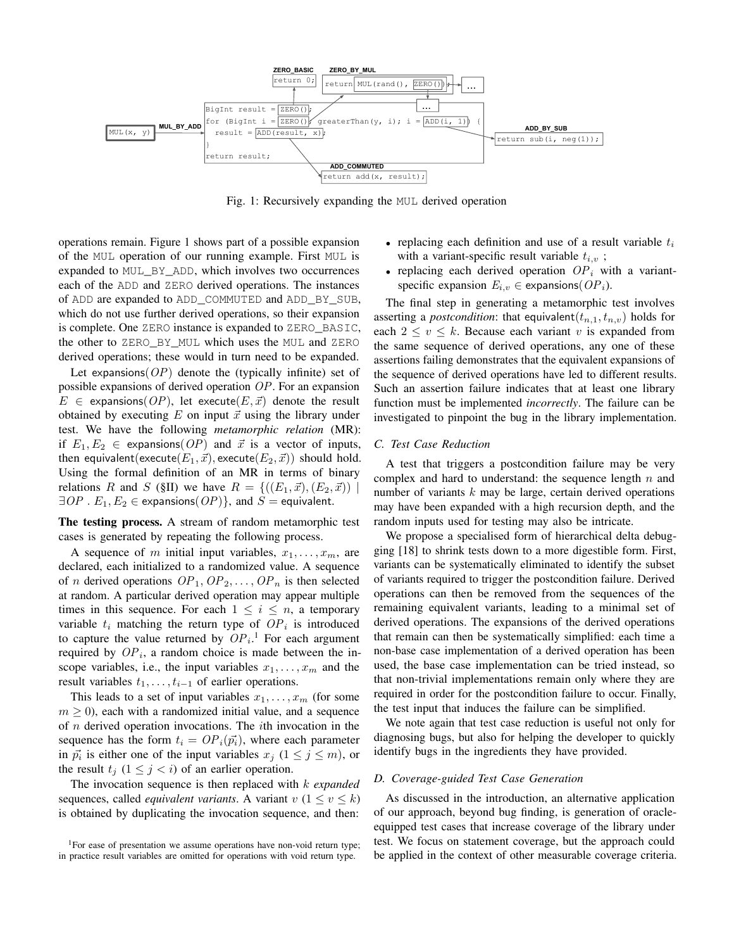<span id="page-3-2"></span>

Fig. 1: Recursively expanding the MUL derived operation

operations remain. [Figure 1](#page-3-2) shows part of a possible expansion of the MUL operation of our running example. First MUL is expanded to MUL\_BY\_ADD, which involves two occurrences each of the ADD and ZERO derived operations. The instances of ADD are expanded to ADD\_COMMUTED and ADD\_BY\_SUB, which do not use further derived operations, so their expansion is complete. One ZERO instance is expanded to ZERO\_BASIC, the other to ZERO\_BY\_MUL which uses the MUL and ZERO derived operations; these would in turn need to be expanded.

Let expansions  $OP$  denote the (typically infinite) set of possible expansions of derived operation OP. For an expansion  $E \in$  expansions(OP), let execute(E,  $\vec{x}$ ) denote the result obtained by executing  $E$  on input  $\vec{x}$  using the library under test. We have the following *metamorphic relation* (MR): if  $E_1, E_2 \in$  expansions(*OP*) and  $\vec{x}$  is a vector of inputs, then equivalent(execute $(E_1, \vec{x})$ , execute $(E_2, \vec{x})$ ) should hold. Using the formal definition of an MR in terms of binary relations R and S [\(§II\)](#page-1-0) we have  $R = \{((E_1, \vec{x}), (E_2, \vec{x})) |$  $\exists OP \cdot E_1, E_2 \in$  expansions $(OP)$ , and  $S =$  equivalent.

The testing process. A stream of random metamorphic test cases is generated by repeating the following process.

A sequence of m initial input variables,  $x_1, \ldots, x_m$ , are declared, each initialized to a randomized value. A sequence of *n* derived operations  $OP_1$ ,  $OP_2$ , ...,  $OP_n$  is then selected at random. A particular derived operation may appear multiple times in this sequence. For each  $1 \leq i \leq n$ , a temporary variable  $t_i$  matching the return type of  $OP_i$  is introduced to capture the value returned by  $OP_i$ .<sup>[1](#page-3-3)</sup> For each argument required by  $OP_i$ , a random choice is made between the inscope variables, i.e., the input variables  $x_1, \ldots, x_m$  and the result variables  $t_1, \ldots, t_{i-1}$  of earlier operations.

This leads to a set of input variables  $x_1, \ldots, x_m$  (for some  $m \geq 0$ , each with a randomized initial value, and a sequence of  $n$  derived operation invocations. The *i*th invocation in the sequence has the form  $t_i = OP_i(\vec{p_i})$ , where each parameter in  $\vec{p_i}$  is either one of the input variables  $x_j$   $(1 \le j \le m)$ , or the result  $t_j$   $(1 \leq j < i)$  of an earlier operation.

The invocation sequence is then replaced with k *expanded* sequences, called *equivalent variants*. A variant  $v$   $(1 \le v \le k)$ is obtained by duplicating the invocation sequence, and then:

- replacing each definition and use of a result variable  $t_i$ with a variant-specific result variable  $t_{i,v}$ ;
- replacing each derived operation  $OP<sub>i</sub>$  with a variantspecific expansion  $E_{i,v} \in$  expansions( $OP_i$ ).

The final step in generating a metamorphic test involves asserting a *postcondition*: that equivalent $(t_{n,1}, t_{n,\nu})$  holds for each  $2 \le v \le k$ . Because each variant v is expanded from the same sequence of derived operations, any one of these assertions failing demonstrates that the equivalent expansions of the sequence of derived operations have led to different results. Such an assertion failure indicates that at least one library function must be implemented *incorrectly*. The failure can be investigated to pinpoint the bug in the library implementation.

## <span id="page-3-0"></span>*C. Test Case Reduction*

A test that triggers a postcondition failure may be very complex and hard to understand: the sequence length  $n$  and number of variants  $k$  may be large, certain derived operations may have been expanded with a high recursion depth, and the random inputs used for testing may also be intricate.

We propose a specialised form of hierarchical delta debugging [\[18\]](#page-10-17) to shrink tests down to a more digestible form. First, variants can be systematically eliminated to identify the subset of variants required to trigger the postcondition failure. Derived operations can then be removed from the sequences of the remaining equivalent variants, leading to a minimal set of derived operations. The expansions of the derived operations that remain can then be systematically simplified: each time a non-base case implementation of a derived operation has been used, the base case implementation can be tried instead, so that non-trivial implementations remain only where they are required in order for the postcondition failure to occur. Finally, the test input that induces the failure can be simplified.

We note again that test case reduction is useful not only for diagnosing bugs, but also for helping the developer to quickly identify bugs in the ingredients they have provided.

#### <span id="page-3-1"></span>*D. Coverage-guided Test Case Generation*

As discussed in the introduction, an alternative application of our approach, beyond bug finding, is generation of oracleequipped test cases that increase coverage of the library under test. We focus on statement coverage, but the approach could be applied in the context of other measurable coverage criteria.

<span id="page-3-3"></span><sup>&</sup>lt;sup>1</sup>For ease of presentation we assume operations have non-void return type; in practice result variables are omitted for operations with void return type.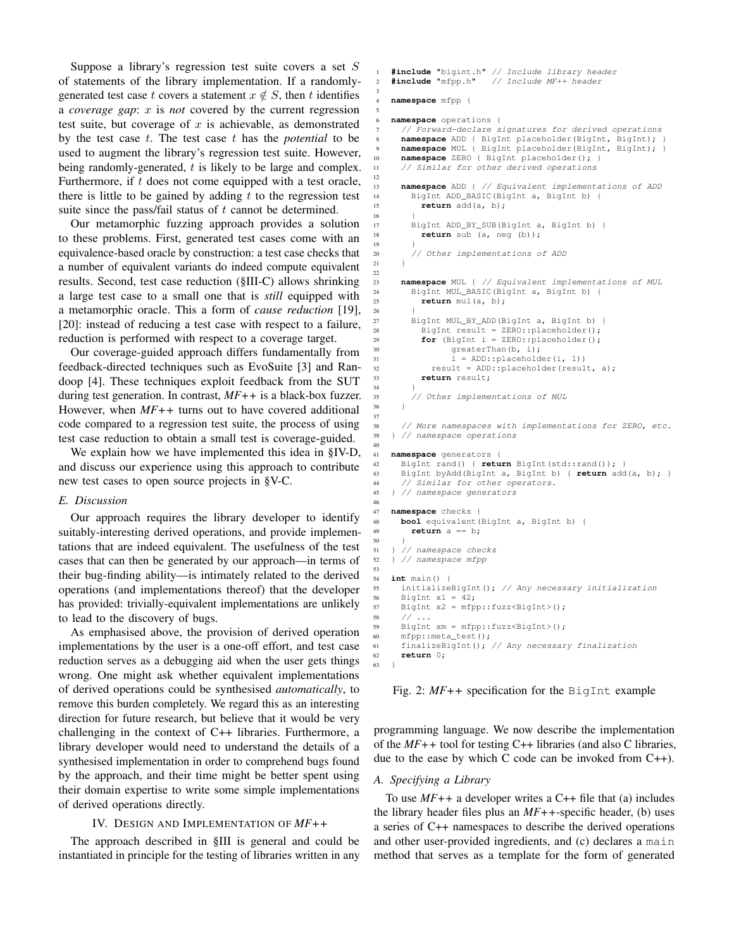Suppose a library's regression test suite covers a set S of statements of the library implementation. If a randomlygenerated test case t covers a statement  $x \notin S$ , then t identifies a *coverage gap*: x is *not* covered by the current regression test suite, but coverage of  $x$  is achievable, as demonstrated by the test case t. The test case t has the *potential* to be used to augment the library's regression test suite. However, being randomly-generated, t is likely to be large and complex. Furthermore, if  $t$  does not come equipped with a test oracle, there is little to be gained by adding  $t$  to the regression test suite since the pass/fail status of  $t$  cannot be determined.

3

<span id="page-4-5"></span><span id="page-4-3"></span>5

<span id="page-4-6"></span>12

16 }

19 }

<span id="page-4-8"></span><span id="page-4-7"></span>21 } 22

<span id="page-4-13"></span><span id="page-4-12"></span><span id="page-4-11"></span><span id="page-4-10"></span> $34$ 

<span id="page-4-9"></span>37

<span id="page-4-14"></span><span id="page-4-4"></span>40

<span id="page-4-16"></span><span id="page-4-15"></span>46

<span id="page-4-17"></span>50 }

<span id="page-4-23"></span><span id="page-4-19"></span><span id="page-4-18"></span>53

<span id="page-4-22"></span><span id="page-4-21"></span><span id="page-4-20"></span>63 }

Our metamorphic fuzzing approach provides a solution to these problems. First, generated test cases come with an equivalence-based oracle by construction: a test case checks that a number of equivalent variants do indeed compute equivalent results. Second, test case reduction [\(§III-C\)](#page-3-0) allows shrinking a large test case to a small one that is *still* equipped with a metamorphic oracle. This a form of *cause reduction* [\[19\]](#page-10-18), [\[20\]](#page-10-19): instead of reducing a test case with respect to a failure, reduction is performed with respect to a coverage target.

Our coverage-guided approach differs fundamentally from feedback-directed techniques such as EvoSuite [\[3\]](#page-10-2) and Randoop [\[4\]](#page-10-3). These techniques exploit feedback from the SUT during test generation. In contrast, *MF++* is a black-box fuzzer. However, when *MF++* turns out to have covered additional code compared to a regression test suite, the process of using test case reduction to obtain a small test is coverage-guided.

We explain how we have implemented this idea in [§IV-D,](#page-6-1) and discuss our experience using this approach to contribute new test cases to open source projects in [§V-C.](#page-7-0)

## <span id="page-4-0"></span>*E. Discussion*

Our approach requires the library developer to identify suitably-interesting derived operations, and provide implementations that are indeed equivalent. The usefulness of the test cases that can then be generated by our approach—in terms of their bug-finding ability—is intimately related to the derived operations (and implementations thereof) that the developer has provided: trivially-equivalent implementations are unlikely to lead to the discovery of bugs.

As emphasised above, the provision of derived operation implementations by the user is a one-off effort, and test case reduction serves as a debugging aid when the user gets things wrong. One might ask whether equivalent implementations of derived operations could be synthesised *automatically*, to remove this burden completely. We regard this as an interesting direction for future research, but believe that it would be very challenging in the context of C++ libraries. Furthermore, a library developer would need to understand the details of a synthesised implementation in order to comprehend bugs found by the approach, and their time might be better spent using their domain expertise to write some simple implementations of derived operations directly.

## IV. DESIGN AND IMPLEMENTATION OF *MF++*

<span id="page-4-1"></span>The approach described in [§III](#page-1-1) is general and could be instantiated in principle for the testing of libraries written in any

```
1 #include "bigint.h" // Include library header
2 #include "mfpp.h" // Include MF++ header
   4 namespace mfpp {
   6 namespace operations {
      // Forward-declare signatures for derived operations
     namespace ADD { BigInt placeholder(BigInt, BigInt); }
     9 namespace MUL { BigInt placeholder(BigInt, BigInt); }
10 namespace ZERO { BigInt placeholder(); }
11 // Similar for other derived operations
13 namespace ADD { // Equivalent implementations of ADD<br>14 BigInt ADD BASIC(BigInt a, BigInt b) {
       14 BigInt ADD_BASIC(BigInt a, BigInt b) {
15 return add(a, b);
17 BigInt ADD_BY_SUB(BigInt a, BigInt b) {
18 return sub (a, neg (b));
20 // Other implementations of ADD
23 namespace MUL { // Equivalent implementations of MUL
24 BigInt MUL_BASIC(BigInt a, BigInt b) {
25 return mul(a, b);
26 }
27 BigInt MUL_BY_ADD(BigInt a, BigInt b) {
28 BigInt result = ZERO::placeholder();
29 for (BigInt i = ZERO::placeholder();
30 greaterThan(b, \overrightarrow{i});
31 i = ADD::placeholder(i, 1))
32 result = ADD::placeholder(result, a);
33 return result;
35 // Other implementations of MUL
36 }
38 // More namespaces with implementations for ZERO, etc.
39 } // namespace operations
41 namespace generators {
42 BigInt rand() { return BigInt(std::rand()); }
43 BigInt byAdd(BigInt a, BigInt b) { return add(a, b); }
44 // Similar for other operators.
45 } // namespace generators
47 namespace checks {
48 bool equivalent(BigInt a, BigInt b) {
49 return a == b;
51 } // namespace checks
52 } // namespace mfpp
54 int main() {
55 initializeBigInt(); // Any necessary initialization
56 BigInt x1 = 42;57 BigInt x2 = mfpp::fuzz<BigInt>();
58 // ...
59 BigInt xm = mfpp::fuzz<BigInt>();
60 mfpp::meta_test();
61 finalizeBigInt(); // Any necessary finalization
62 return 0;
```
Fig. 2: *MF++* specification for the BigInt example

programming language. We now describe the implementation of the *MF++* tool for testing C++ libraries (and also C libraries, due to the ease by which C code can be invoked from C++).

#### *A. Specifying a Library*

To use *MF++* a developer writes a C++ file that (a) includes the library header files plus an *MF++*-specific header, (b) uses a series of C++ namespaces to describe the derived operations and other user-provided ingredients, and (c) declares a main method that serves as a template for the form of generated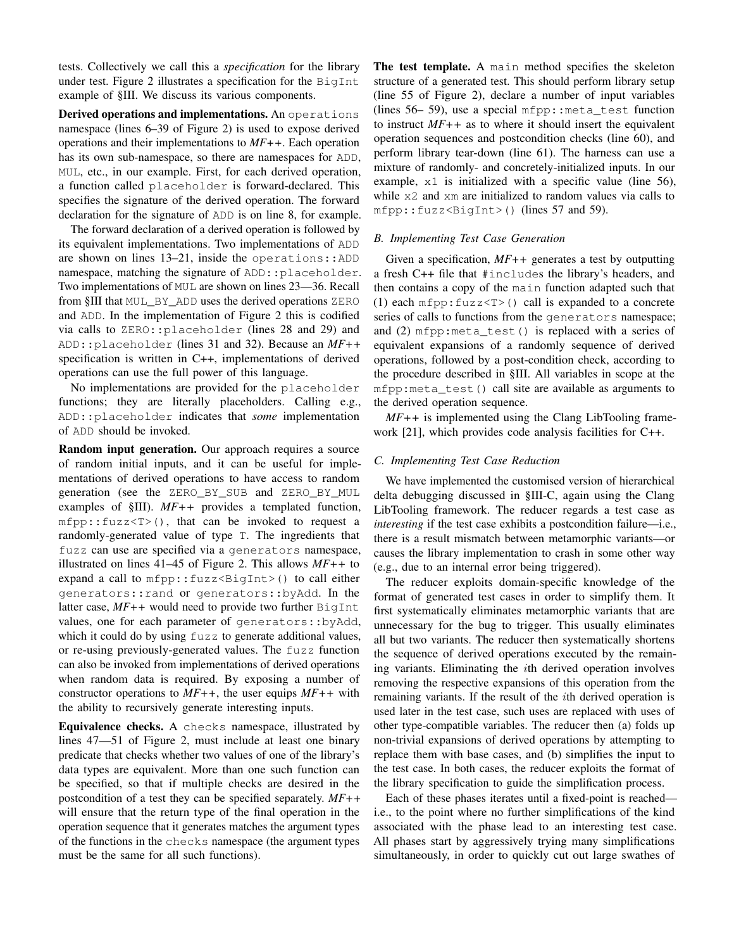tests. Collectively we call this a *specification* for the library under test. [Figure 2](#page-4-2) illustrates a specification for the BigInt example of [§III.](#page-1-1) We discuss its various components.

Derived operations and implementations. An operations namespace (lines [6](#page-4-3)[–39](#page-4-4) of [Figure 2\)](#page-4-2) is used to expose derived operations and their implementations to *MF++*. Each operation has its own sub-namespace, so there are namespaces for ADD, MUL, etc., in our example. First, for each derived operation, a function called placeholder is forward-declared. This specifies the signature of the derived operation. The forward declaration for the signature of ADD is on line [8,](#page-4-5) for example.

The forward declaration of a derived operation is followed by its equivalent implementations. Two implementations of ADD are shown on lines [13–](#page-4-6)[21,](#page-4-7) inside the operations::ADD namespace, matching the signature of ADD::placeholder. Two implementations of MUL are shown on lines [23—](#page-4-8)[36.](#page-4-9) Recall from [§III](#page-1-1) that MUL\_BY\_ADD uses the derived operations ZERO and ADD. In the implementation of [Figure 2](#page-4-2) this is codified via calls to ZERO::placeholder (lines [28](#page-4-10) and [29\)](#page-4-11) and ADD::placeholder (lines [31](#page-4-12) and [32\)](#page-4-13). Because an *MF++* specification is written in C++, implementations of derived operations can use the full power of this language.

No implementations are provided for the placeholder functions; they are literally placeholders. Calling e.g., ADD::placeholder indicates that *some* implementation of ADD should be invoked.

Random input generation. Our approach requires a source of random initial inputs, and it can be useful for implementations of derived operations to have access to random generation (see the ZERO\_BY\_SUB and ZERO\_BY\_MUL examples of [§III\)](#page-1-1). *MF++* provides a templated function, mfpp::fuzz<T>(), that can be invoked to request a randomly-generated value of type T. The ingredients that fuzz can use are specified via a generators namespace, illustrated on lines [41–](#page-4-14)[45](#page-4-15) of [Figure 2.](#page-4-2) This allows *MF++* to expand a call to  $mfpp$ :: fuzz<BigInt>() to call either generators::rand or generators::byAdd. In the latter case,  $MF++$  would need to provide two further  $BigInt$ values, one for each parameter of generators::byAdd, which it could do by using fuzz to generate additional values, or re-using previously-generated values. The fuzz function can also be invoked from implementations of derived operations when random data is required. By exposing a number of constructor operations to *MF++*, the user equips *MF++* with the ability to recursively generate interesting inputs.

Equivalence checks. A checks namespace, illustrated by lines [47—](#page-4-16)[51](#page-4-17) of [Figure 2,](#page-4-2) must include at least one binary predicate that checks whether two values of one of the library's data types are equivalent. More than one such function can be specified, so that if multiple checks are desired in the postcondition of a test they can be specified separately. *MF++* will ensure that the return type of the final operation in the operation sequence that it generates matches the argument types of the functions in the checks namespace (the argument types must be the same for all such functions).

The test template. A main method specifies the skeleton structure of a generated test. This should perform library setup (line [55](#page-4-18) of [Figure 2\)](#page-4-2), declare a number of input variables (lines  $56-59$ ), use a special mfpp::meta\_test function to instruct *MF++* as to where it should insert the equivalent operation sequences and postcondition checks (line [60\)](#page-4-21), and perform library tear-down (line [61\)](#page-4-22). The harness can use a mixture of randomly- and concretely-initialized inputs. In our example, x1 is initialized with a specific value (line [56\)](#page-4-19), while  $x^2$  and  $x^2$  are initialized to random values via calls to mfpp::fuzz<BigInt>() (lines [57](#page-4-23) and [59\)](#page-4-20).

## *B. Implementing Test Case Generation*

Given a specification, *MF++* generates a test by outputting a fresh C++ file that #includes the library's headers, and then contains a copy of the main function adapted such that (1) each  $mfpp: fuzz \le T$  () call is expanded to a concrete series of calls to functions from the generators namespace; and (2) mfpp: meta\_test() is replaced with a series of equivalent expansions of a randomly sequence of derived operations, followed by a post-condition check, according to the procedure described in [§III.](#page-1-1) All variables in scope at the mfpp:meta\_test() call site are available as arguments to the derived operation sequence.

*MF++* is implemented using the Clang LibTooling framework [\[21\]](#page-10-20), which provides code analysis facilities for C++.

## <span id="page-5-0"></span>*C. Implementing Test Case Reduction*

We have implemented the customised version of hierarchical delta debugging discussed in [§III-C,](#page-3-0) again using the Clang LibTooling framework. The reducer regards a test case as *interesting* if the test case exhibits a postcondition failure—i.e., there is a result mismatch between metamorphic variants—or causes the library implementation to crash in some other way (e.g., due to an internal error being triggered).

The reducer exploits domain-specific knowledge of the format of generated test cases in order to simplify them. It first systematically eliminates metamorphic variants that are unnecessary for the bug to trigger. This usually eliminates all but two variants. The reducer then systematically shortens the sequence of derived operations executed by the remaining variants. Eliminating the ith derived operation involves removing the respective expansions of this operation from the remaining variants. If the result of the ith derived operation is used later in the test case, such uses are replaced with uses of other type-compatible variables. The reducer then (a) folds up non-trivial expansions of derived operations by attempting to replace them with base cases, and (b) simplifies the input to the test case. In both cases, the reducer exploits the format of the library specification to guide the simplification process.

Each of these phases iterates until a fixed-point is reached i.e., to the point where no further simplifications of the kind associated with the phase lead to an interesting test case. All phases start by aggressively trying many simplifications simultaneously, in order to quickly cut out large swathes of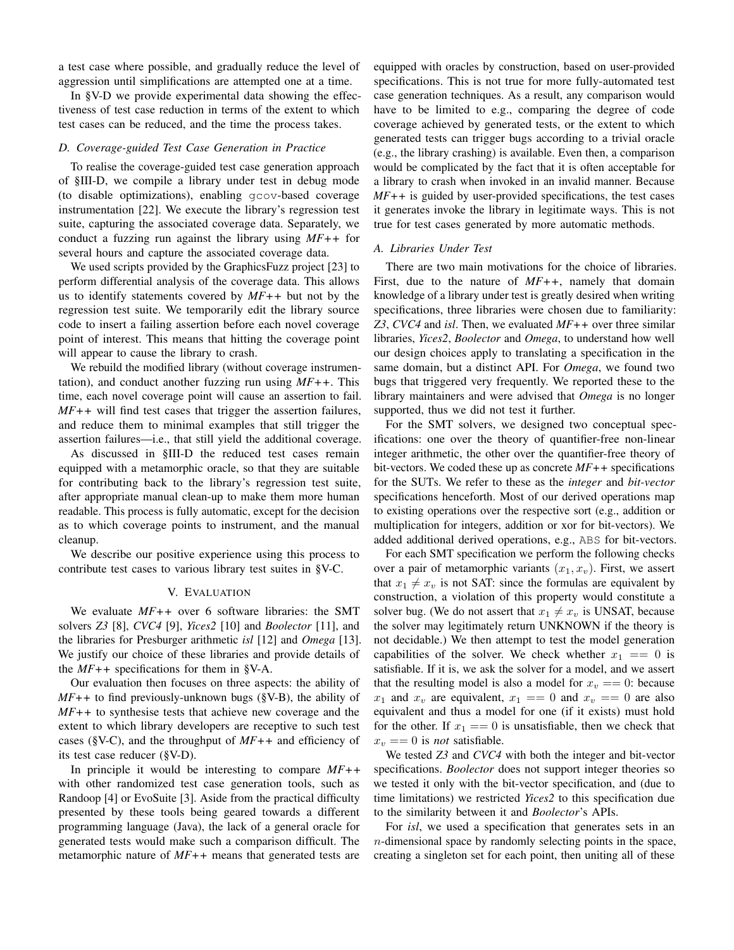a test case where possible, and gradually reduce the level of aggression until simplifications are attempted one at a time.

In [§V-D](#page-8-0) we provide experimental data showing the effectiveness of test case reduction in terms of the extent to which test cases can be reduced, and the time the process takes.

#### <span id="page-6-1"></span>*D. Coverage-guided Test Case Generation in Practice*

To realise the coverage-guided test case generation approach of [§III-D,](#page-3-1) we compile a library under test in debug mode (to disable optimizations), enabling gcov-based coverage instrumentation [\[22\]](#page-10-21). We execute the library's regression test suite, capturing the associated coverage data. Separately, we conduct a fuzzing run against the library using *MF++* for several hours and capture the associated coverage data.

We used scripts provided by the GraphicsFuzz project [\[23\]](#page-10-22) to perform differential analysis of the coverage data. This allows us to identify statements covered by *MF++* but not by the regression test suite. We temporarily edit the library source code to insert a failing assertion before each novel coverage point of interest. This means that hitting the coverage point will appear to cause the library to crash.

We rebuild the modified library (without coverage instrumentation), and conduct another fuzzing run using *MF++*. This time, each novel coverage point will cause an assertion to fail. *MF++* will find test cases that trigger the assertion failures, and reduce them to minimal examples that still trigger the assertion failures—i.e., that still yield the additional coverage.

As discussed in [§III-D](#page-3-1) the reduced test cases remain equipped with a metamorphic oracle, so that they are suitable for contributing back to the library's regression test suite, after appropriate manual clean-up to make them more human readable. This process is fully automatic, except for the decision as to which coverage points to instrument, and the manual cleanup.

We describe our positive experience using this process to contribute test cases to various library test suites in [§V-C.](#page-7-0)

#### V. EVALUATION

<span id="page-6-0"></span>We evaluate *MF++* over 6 software libraries: the SMT solvers *Z3* [\[8\]](#page-10-7), *CVC4* [\[9\]](#page-10-8), *Yices2* [\[10\]](#page-10-9) and *Boolector* [\[11\]](#page-10-10), and the libraries for Presburger arithmetic *isl* [\[12\]](#page-10-11) and *Omega* [\[13\]](#page-10-12). We justify our choice of these libraries and provide details of the *MF++* specifications for them in [§V-A.](#page-6-2)

Our evaluation then focuses on three aspects: the ability of *MF++* to find previously-unknown bugs [\(§V-B\)](#page-7-1), the ability of *MF++* to synthesise tests that achieve new coverage and the extent to which library developers are receptive to such test cases [\(§V-C\)](#page-7-0), and the throughput of *MF++* and efficiency of its test case reducer [\(§V-D\)](#page-8-0).

In principle it would be interesting to compare *MF++* with other randomized test case generation tools, such as Randoop [\[4\]](#page-10-3) or EvoSuite [\[3\]](#page-10-2). Aside from the practical difficulty presented by these tools being geared towards a different programming language (Java), the lack of a general oracle for generated tests would make such a comparison difficult. The metamorphic nature of *MF++* means that generated tests are

equipped with oracles by construction, based on user-provided specifications. This is not true for more fully-automated test case generation techniques. As a result, any comparison would have to be limited to e.g., comparing the degree of code coverage achieved by generated tests, or the extent to which generated tests can trigger bugs according to a trivial oracle (e.g., the library crashing) is available. Even then, a comparison would be complicated by the fact that it is often acceptable for a library to crash when invoked in an invalid manner. Because *MF++* is guided by user-provided specifications, the test cases it generates invoke the library in legitimate ways. This is not true for test cases generated by more automatic methods.

### <span id="page-6-2"></span>*A. Libraries Under Test*

There are two main motivations for the choice of libraries. First, due to the nature of *MF++*, namely that domain knowledge of a library under test is greatly desired when writing specifications, three libraries were chosen due to familiarity: *Z3*, *CVC4* and *isl*. Then, we evaluated *MF++* over three similar libraries, *Yices2*, *Boolector* and *Omega*, to understand how well our design choices apply to translating a specification in the same domain, but a distinct API. For *Omega*, we found two bugs that triggered very frequently. We reported these to the library maintainers and were advised that *Omega* is no longer supported, thus we did not test it further.

For the SMT solvers, we designed two conceptual specifications: one over the theory of quantifier-free non-linear integer arithmetic, the other over the quantifier-free theory of bit-vectors. We coded these up as concrete *MF++* specifications for the SUTs. We refer to these as the *integer* and *bit-vector* specifications henceforth. Most of our derived operations map to existing operations over the respective sort (e.g., addition or multiplication for integers, addition or xor for bit-vectors). We added additional derived operations, e.g., ABS for bit-vectors.

For each SMT specification we perform the following checks over a pair of metamorphic variants  $(x_1, x_v)$ . First, we assert that  $x_1 \neq x_v$  is not SAT: since the formulas are equivalent by construction, a violation of this property would constitute a solver bug. (We do not assert that  $x_1 \neq x_v$  is UNSAT, because the solver may legitimately return UNKNOWN if the theory is not decidable.) We then attempt to test the model generation capabilities of the solver. We check whether  $x_1 == 0$  is satisfiable. If it is, we ask the solver for a model, and we assert that the resulting model is also a model for  $x_v == 0$ : because  $x_1$  and  $x_v$  are equivalent,  $x_1 == 0$  and  $x_v == 0$  are also equivalent and thus a model for one (if it exists) must hold for the other. If  $x_1 == 0$  is unsatisfiable, then we check that  $x_v == 0$  is *not* satisfiable.

We tested *Z3* and *CVC4* with both the integer and bit-vector specifications. *Boolector* does not support integer theories so we tested it only with the bit-vector specification, and (due to time limitations) we restricted *Yices2* to this specification due to the similarity between it and *Boolector*'s APIs.

For *isl*, we used a specification that generates sets in an  $n$ -dimensional space by randomly selecting points in the space, creating a singleton set for each point, then uniting all of these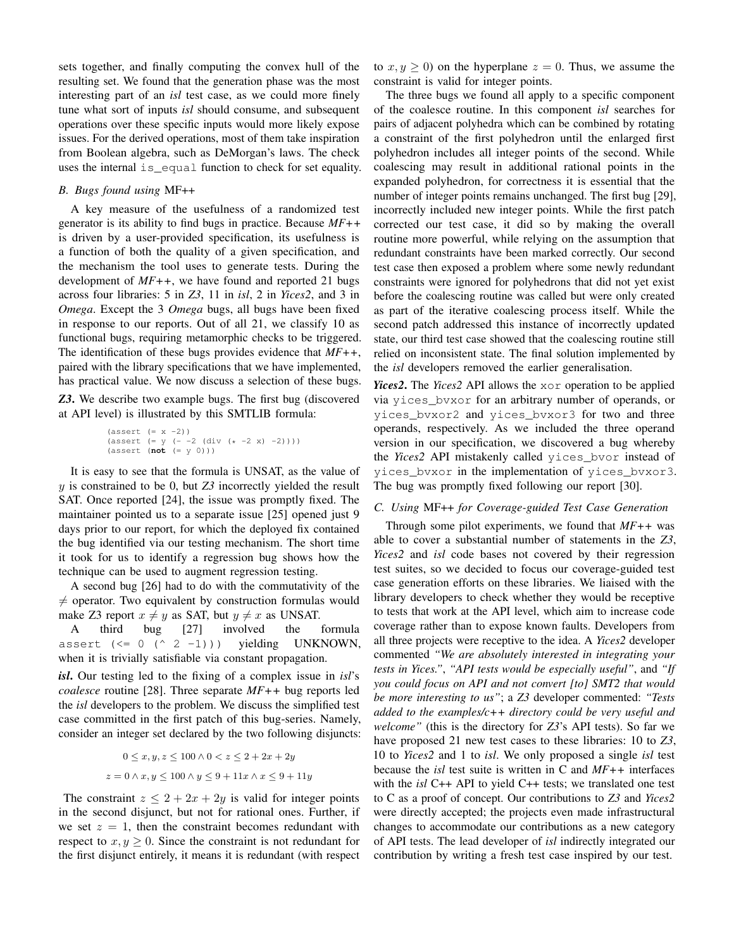sets together, and finally computing the convex hull of the resulting set. We found that the generation phase was the most interesting part of an *isl* test case, as we could more finely tune what sort of inputs *isl* should consume, and subsequent operations over these specific inputs would more likely expose issues. For the derived operations, most of them take inspiration from Boolean algebra, such as DeMorgan's laws. The check uses the internal is equal function to check for set equality.

## <span id="page-7-1"></span>*B. Bugs found using* MF++

A key measure of the usefulness of a randomized test generator is its ability to find bugs in practice. Because *MF++* is driven by a user-provided specification, its usefulness is a function of both the quality of a given specification, and the mechanism the tool uses to generate tests. During the development of *MF++*, we have found and reported 21 bugs across four libraries: 5 in *Z3*, 11 in *isl*, 2 in *Yices2*, and 3 in *Omega*. Except the 3 *Omega* bugs, all bugs have been fixed in response to our reports. Out of all 21, we classify 10 as functional bugs, requiring metamorphic checks to be triggered. The identification of these bugs provides evidence that *MF++*, paired with the library specifications that we have implemented, has practical value. We now discuss a selection of these bugs. *Z3*. We describe two example bugs. The first bug (discovered at API level) is illustrated by this SMTLIB formula:

(assert (= x -2)) (assert (= y (- -2 (div (\* -2 x) -2)))) (assert (**not** (= y 0)))

It is easy to see that the formula is UNSAT, as the value of y is constrained to be 0, but *Z3* incorrectly yielded the result SAT. Once reported [\[24\]](#page-10-23), the issue was promptly fixed. The maintainer pointed us to a separate issue [\[25\]](#page-10-24) opened just 9 days prior to our report, for which the deployed fix contained the bug identified via our testing mechanism. The short time it took for us to identify a regression bug shows how the technique can be used to augment regression testing.

A second bug [\[26\]](#page-10-25) had to do with the commutativity of the  $\neq$  operator. Two equivalent by construction formulas would make Z3 report  $x \neq y$  as SAT, but  $y \neq x$  as UNSAT.

A third bug [\[27\]](#page-10-26) involved the formula assert  $(\leq 0 (\land 2 -1))$ ) yielding UNKNOWN, when it is trivially satisfiable via constant propagation.

*isl*. Our testing led to the fixing of a complex issue in *isl*'s *coalesce* routine [\[28\]](#page-10-27). Three separate *MF++* bug reports led the *isl* developers to the problem. We discuss the simplified test case committed in the first patch of this bug-series. Namely, consider an integer set declared by the two following disjuncts:

$$
0 \le x, y, z \le 100 \land 0 < z \le 2 + 2x + 2y
$$
  

$$
z = 0 \land x, y \le 100 \land y \le 9 + 11x \land x \le 9 + 11y
$$

The constraint  $z \leq 2 + 2x + 2y$  is valid for integer points in the second disjunct, but not for rational ones. Further, if we set  $z = 1$ , then the constraint becomes redundant with respect to  $x, y \geq 0$ . Since the constraint is not redundant for the first disjunct entirely, it means it is redundant (with respect

to  $x, y \ge 0$ ) on the hyperplane  $z = 0$ . Thus, we assume the constraint is valid for integer points.

The three bugs we found all apply to a specific component of the coalesce routine. In this component *isl* searches for pairs of adjacent polyhedra which can be combined by rotating a constraint of the first polyhedron until the enlarged first polyhedron includes all integer points of the second. While coalescing may result in additional rational points in the expanded polyhedron, for correctness it is essential that the number of integer points remains unchanged. The first bug [\[29\]](#page-10-28), incorrectly included new integer points. While the first patch corrected our test case, it did so by making the overall routine more powerful, while relying on the assumption that redundant constraints have been marked correctly. Our second test case then exposed a problem where some newly redundant constraints were ignored for polyhedrons that did not yet exist before the coalescing routine was called but were only created as part of the iterative coalescing process itself. While the second patch addressed this instance of incorrectly updated state, our third test case showed that the coalescing routine still relied on inconsistent state. The final solution implemented by the *isl* developers removed the earlier generalisation.

*Yices2*. The *Yices2* API allows the xor operation to be applied via yices\_bvxor for an arbitrary number of operands, or yices\_bvxor2 and yices\_bvxor3 for two and three operands, respectively. As we included the three operand version in our specification, we discovered a bug whereby the *Yices2* API mistakenly called yices\_bvor instead of yices\_bvxor in the implementation of yices\_bvxor3. The bug was promptly fixed following our report [\[30\]](#page-10-29).

#### <span id="page-7-0"></span>*C. Using* MF++ *for Coverage-guided Test Case Generation*

Through some pilot experiments, we found that *MF++* was able to cover a substantial number of statements in the *Z3*, *Yices2* and *isl* code bases not covered by their regression test suites, so we decided to focus our coverage-guided test case generation efforts on these libraries. We liaised with the library developers to check whether they would be receptive to tests that work at the API level, which aim to increase code coverage rather than to expose known faults. Developers from all three projects were receptive to the idea. A *Yices2* developer commented *"We are absolutely interested in integrating your tests in Yices."*, *"API tests would be especially useful"*, and *"If you could focus on API and not convert [to] SMT2 that would be more interesting to us"*; a *Z3* developer commented: *"Tests added to the examples/c++ directory could be very useful and welcome"* (this is the directory for *Z3*'s API tests). So far we have proposed 21 new test cases to these libraries: 10 to *Z3*, 10 to *Yices2* and 1 to *isl*. We only proposed a single *isl* test because the *isl* test suite is written in C and *MF++* interfaces with the *isl* C++ API to yield C++ tests; we translated one test to C as a proof of concept. Our contributions to *Z3* and *Yices2* were directly accepted; the projects even made infrastructural changes to accommodate our contributions as a new category of API tests. The lead developer of *isl* indirectly integrated our contribution by writing a fresh test case inspired by our test.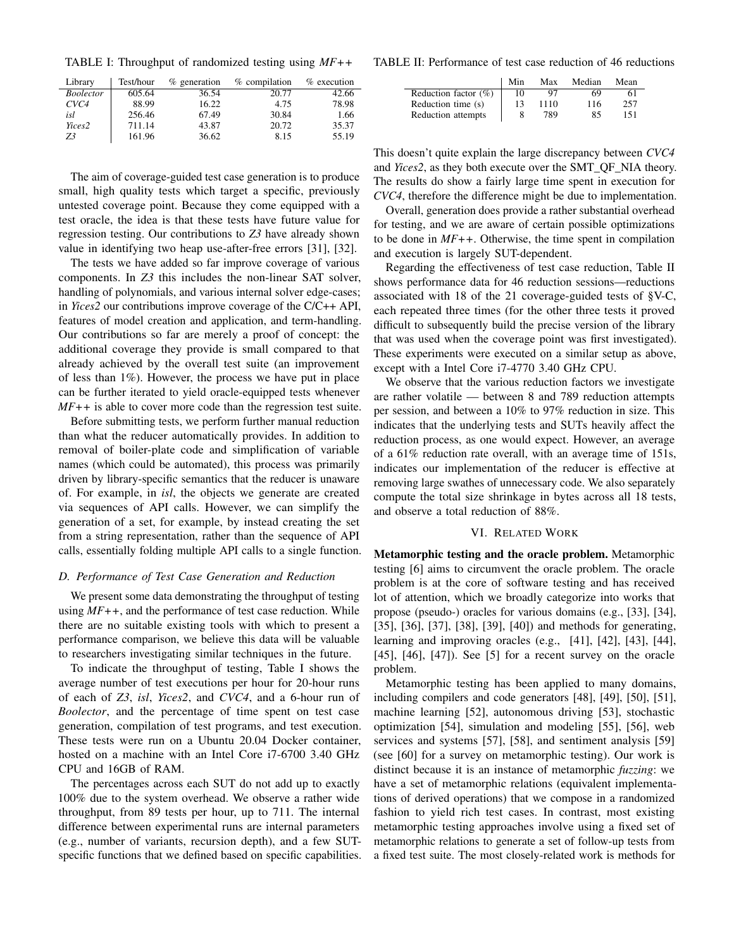<span id="page-8-1"></span>TABLE I: Throughput of randomized testing using *MF++*

| Library          | Test/hour | $%$ generation | % compilation | $%$ execution |
|------------------|-----------|----------------|---------------|---------------|
| <i>Boolector</i> | 605.64    | 36.54          | 20.77         | 42.66         |
| CVC4             | 88.99     | 16.22          | 4.75          | 78.98         |
| isl              | 256.46    | 67.49          | 30.84         | 1.66          |
| Yices2           | 711.14    | 43.87          | 20.72         | 35.37         |
| 73               | 161.96    | 36.62          | 8.15          | 55.19         |

The aim of coverage-guided test case generation is to produce small, high quality tests which target a specific, previously untested coverage point. Because they come equipped with a test oracle, the idea is that these tests have future value for regression testing. Our contributions to *Z3* have already shown value in identifying two heap use-after-free errors [\[31\]](#page-10-30), [\[32\]](#page-10-31).

The tests we have added so far improve coverage of various components. In *Z3* this includes the non-linear SAT solver, handling of polynomials, and various internal solver edge-cases; in *Yices2* our contributions improve coverage of the C/C++ API, features of model creation and application, and term-handling. Our contributions so far are merely a proof of concept: the additional coverage they provide is small compared to that already achieved by the overall test suite (an improvement of less than 1%). However, the process we have put in place can be further iterated to yield oracle-equipped tests whenever *MF++* is able to cover more code than the regression test suite.

Before submitting tests, we perform further manual reduction than what the reducer automatically provides. In addition to removal of boiler-plate code and simplification of variable names (which could be automated), this process was primarily driven by library-specific semantics that the reducer is unaware of. For example, in *isl*, the objects we generate are created via sequences of API calls. However, we can simplify the generation of a set, for example, by instead creating the set from a string representation, rather than the sequence of API calls, essentially folding multiple API calls to a single function.

## <span id="page-8-0"></span>*D. Performance of Test Case Generation and Reduction*

We present some data demonstrating the throughput of testing using *MF++*, and the performance of test case reduction. While there are no suitable existing tools with which to present a performance comparison, we believe this data will be valuable to researchers investigating similar techniques in the future.

To indicate the throughput of testing, [Table I](#page-8-1) shows the average number of test executions per hour for 20-hour runs of each of *Z3*, *isl*, *Yices2*, and *CVC4*, and a 6-hour run of *Boolector*, and the percentage of time spent on test case generation, compilation of test programs, and test execution. These tests were run on a Ubuntu 20.04 Docker container, hosted on a machine with an Intel Core i7-6700 3.40 GHz CPU and 16GB of RAM.

The percentages across each SUT do not add up to exactly 100% due to the system overhead. We observe a rather wide throughput, from 89 tests per hour, up to 711. The internal difference between experimental runs are internal parameters (e.g., number of variants, recursion depth), and a few SUTspecific functions that we defined based on specific capabilities.

<span id="page-8-2"></span>TABLE II: Performance of test case reduction of 46 reductions

|                          | Min | Max  | Median | Mean |
|--------------------------|-----|------|--------|------|
| Reduction factor $(\% )$ | 10  | 97   | 69     | 61   |
| Reduction time (s)       | 13  | 1110 | 116    | 257  |
| Reduction attempts       |     | 789  | 85     | 151  |

This doesn't quite explain the large discrepancy between *CVC4* and *Yices2*, as they both execute over the SMT\_QF\_NIA theory. The results do show a fairly large time spent in execution for *CVC4*, therefore the difference might be due to implementation.

Overall, generation does provide a rather substantial overhead for testing, and we are aware of certain possible optimizations to be done in *MF++*. Otherwise, the time spent in compilation and execution is largely SUT-dependent.

Regarding the effectiveness of test case reduction, [Table II](#page-8-2) shows performance data for 46 reduction sessions—reductions associated with 18 of the 21 coverage-guided tests of [§V-C,](#page-7-0) each repeated three times (for the other three tests it proved difficult to subsequently build the precise version of the library that was used when the coverage point was first investigated). These experiments were executed on a similar setup as above, except with a Intel Core i7-4770 3.40 GHz CPU.

We observe that the various reduction factors we investigate are rather volatile — between 8 and 789 reduction attempts per session, and between a 10% to 97% reduction in size. This indicates that the underlying tests and SUTs heavily affect the reduction process, as one would expect. However, an average of a 61% reduction rate overall, with an average time of 151s, indicates our implementation of the reducer is effective at removing large swathes of unnecessary code. We also separately compute the total size shrinkage in bytes across all 18 tests, and observe a total reduction of 88%.

## VI. RELATED WORK

Metamorphic testing and the oracle problem. Metamorphic testing [\[6\]](#page-10-5) aims to circumvent the oracle problem. The oracle problem is at the core of software testing and has received lot of attention, which we broadly categorize into works that propose (pseudo-) oracles for various domains (e.g., [\[33\]](#page-10-32), [\[34\]](#page-10-33), [\[35\]](#page-10-34), [\[36\]](#page-10-35), [\[37\]](#page-10-36), [\[38\]](#page-10-37), [\[39\]](#page-10-38), [\[40\]](#page-10-39)) and methods for generating, learning and improving oracles (e.g., [\[41\]](#page-10-40), [\[42\]](#page-10-41), [\[43\]](#page-10-42), [\[44\]](#page-10-43), [\[45\]](#page-10-44), [\[46\]](#page-10-45), [\[47\]](#page-11-0)). See [\[5\]](#page-10-4) for a recent survey on the oracle problem.

Metamorphic testing has been applied to many domains, including compilers and code generators [\[48\]](#page-11-1), [\[49\]](#page-11-2), [\[50\]](#page-11-3), [\[51\]](#page-11-4), machine learning [\[52\]](#page-11-5), autonomous driving [\[53\]](#page-11-6), stochastic optimization [\[54\]](#page-11-7), simulation and modeling [\[55\]](#page-11-8), [\[56\]](#page-11-9), web services and systems [\[57\]](#page-11-10), [\[58\]](#page-11-11), and sentiment analysis [\[59\]](#page-11-12) (see [\[60\]](#page-11-13) for a survey on metamorphic testing). Our work is distinct because it is an instance of metamorphic *fuzzing*: we have a set of metamorphic relations (equivalent implementations of derived operations) that we compose in a randomized fashion to yield rich test cases. In contrast, most existing metamorphic testing approaches involve using a fixed set of metamorphic relations to generate a set of follow-up tests from a fixed test suite. The most closely-related work is methods for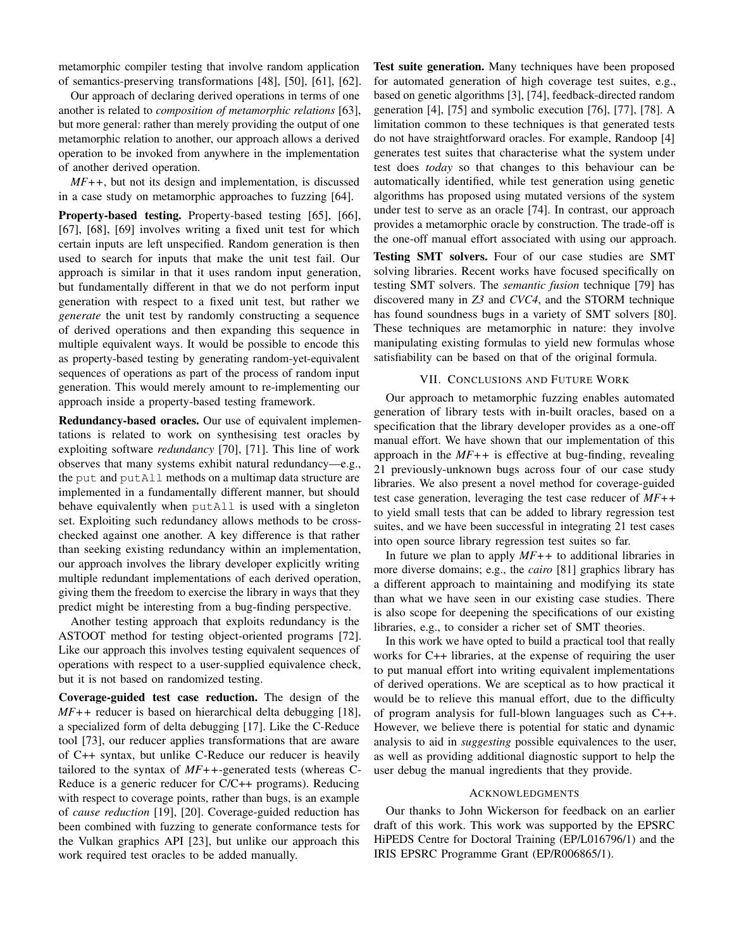metamorphic compiler testing that involve random application of semantics-preserving transformations [\[48\]](#page-11-1), [\[50\]](#page-11-3), [\[61\]](#page-11-14), [\[62\]](#page-11-15).

Our approach of declaring derived operations in terms of one another is related to *composition of metamorphic relations* [\[63\]](#page-11-16), but more general: rather than merely providing the output of one metamorphic relation to another, our approach allows a derived operation to be invoked from anywhere in the implementation of another derived operation.

*MF++*, but not its design and implementation, is discussed in a case study on metamorphic approaches to fuzzing [\[64\]](#page-11-17).

Property-based testing. Property-based testing [\[65\]](#page-11-18), [\[66\]](#page-11-19), [\[67\]](#page-11-20), [\[68\]](#page-11-21), [\[69\]](#page-11-22) involves writing a fixed unit test for which certain inputs are left unspecified. Random generation is then used to search for inputs that make the unit test fail. Our approach is similar in that it uses random input generation, but fundamentally different in that we do not perform input generation with respect to a fixed unit test, but rather we *generate* the unit test by randomly constructing a sequence of derived operations and then expanding this sequence in multiple equivalent ways. It would be possible to encode this as property-based testing by generating random-yet-equivalent sequences of operations as part of the process of random input generation. This would merely amount to re-implementing our approach inside a property-based testing framework.

Redundancy-based oracles. Our use of equivalent implementations is related to work on synthesising test oracles by exploiting software *redundancy* [\[70\]](#page-11-23), [\[71\]](#page-11-24). This line of work observes that many systems exhibit natural redundancy—e.g., the put and putAll methods on a multimap data structure are implemented in a fundamentally different manner, but should behave equivalently when putAll is used with a singleton set. Exploiting such redundancy allows methods to be crosschecked against one another. A key difference is that rather than seeking existing redundancy within an implementation, our approach involves the library developer explicitly writing multiple redundant implementations of each derived operation, giving them the freedom to exercise the library in ways that they predict might be interesting from a bug-finding perspective.

Another testing approach that exploits redundancy is the ASTOOT method for testing object-oriented programs [\[72\]](#page-11-25). Like our approach this involves testing equivalent sequences of operations with respect to a user-supplied equivalence check, but it is not based on randomized testing.

Coverage-guided test case reduction. The design of the *MF++* reducer is based on hierarchical delta debugging [\[18\]](#page-10-17), a specialized form of delta debugging [\[17\]](#page-10-16). Like the C-Reduce tool [\[73\]](#page-11-26), our reducer applies transformations that are aware of C++ syntax, but unlike C-Reduce our reducer is heavily tailored to the syntax of *MF++*-generated tests (whereas C-Reduce is a generic reducer for C/C++ programs). Reducing with respect to coverage points, rather than bugs, is an example of *cause reduction* [\[19\]](#page-10-18), [\[20\]](#page-10-19). Coverage-guided reduction has been combined with fuzzing to generate conformance tests for the Vulkan graphics API [\[23\]](#page-10-22), but unlike our approach this work required test oracles to be added manually.

Test suite generation. Many techniques have been proposed for automated generation of high coverage test suites, e.g., based on genetic algorithms [\[3\]](#page-10-2), [\[74\]](#page-11-27), feedback-directed random generation [\[4\]](#page-10-3), [\[75\]](#page-11-28) and symbolic execution [\[76\]](#page-11-29), [\[77\]](#page-11-30), [\[78\]](#page-11-31). A limitation common to these techniques is that generated tests do not have straightforward oracles. For example, Randoop [\[4\]](#page-10-3) generates test suites that characterise what the system under test does *today* so that changes to this behaviour can be automatically identified, while test generation using genetic algorithms has proposed using mutated versions of the system under test to serve as an oracle [\[74\]](#page-11-27). In contrast, our approach provides a metamorphic oracle by construction. The trade-off is the one-off manual effort associated with using our approach.

Testing SMT solvers. Four of our case studies are SMT solving libraries. Recent works have focused specifically on testing SMT solvers. The *semantic fusion* technique [\[79\]](#page-11-32) has discovered many in *Z3* and *CVC4*, and the STORM technique has found soundness bugs in a variety of SMT solvers [\[80\]](#page-11-33). These techniques are metamorphic in nature: they involve manipulating existing formulas to yield new formulas whose satisfiability can be based on that of the original formula.

## VII. CONCLUSIONS AND FUTURE WORK

Our approach to metamorphic fuzzing enables automated generation of library tests with in-built oracles, based on a specification that the library developer provides as a one-off manual effort. We have shown that our implementation of this approach in the *MF++* is effective at bug-finding, revealing 21 previously-unknown bugs across four of our case study libraries. We also present a novel method for coverage-guided test case generation, leveraging the test case reducer of *MF++* to yield small tests that can be added to library regression test suites, and we have been successful in integrating 21 test cases into open source library regression test suites so far.

In future we plan to apply *MF++* to additional libraries in more diverse domains; e.g., the *cairo* [\[81\]](#page-11-34) graphics library has a different approach to maintaining and modifying its state than what we have seen in our existing case studies. There is also scope for deepening the specifications of our existing libraries, e.g., to consider a richer set of SMT theories.

In this work we have opted to build a practical tool that really works for C++ libraries, at the expense of requiring the user to put manual effort into writing equivalent implementations of derived operations. We are sceptical as to how practical it would be to relieve this manual effort, due to the difficulty of program analysis for full-blown languages such as C++. However, we believe there is potential for static and dynamic analysis to aid in *suggesting* possible equivalences to the user, as well as providing additional diagnostic support to help the user debug the manual ingredients that they provide.

## ACKNOWLEDGMENTS

Our thanks to John Wickerson for feedback on an earlier draft of this work. This work was supported by the EPSRC HiPEDS Centre for Doctoral Training (EP/L016796/1) and the IRIS EPSRC Programme Grant (EP/R006865/1).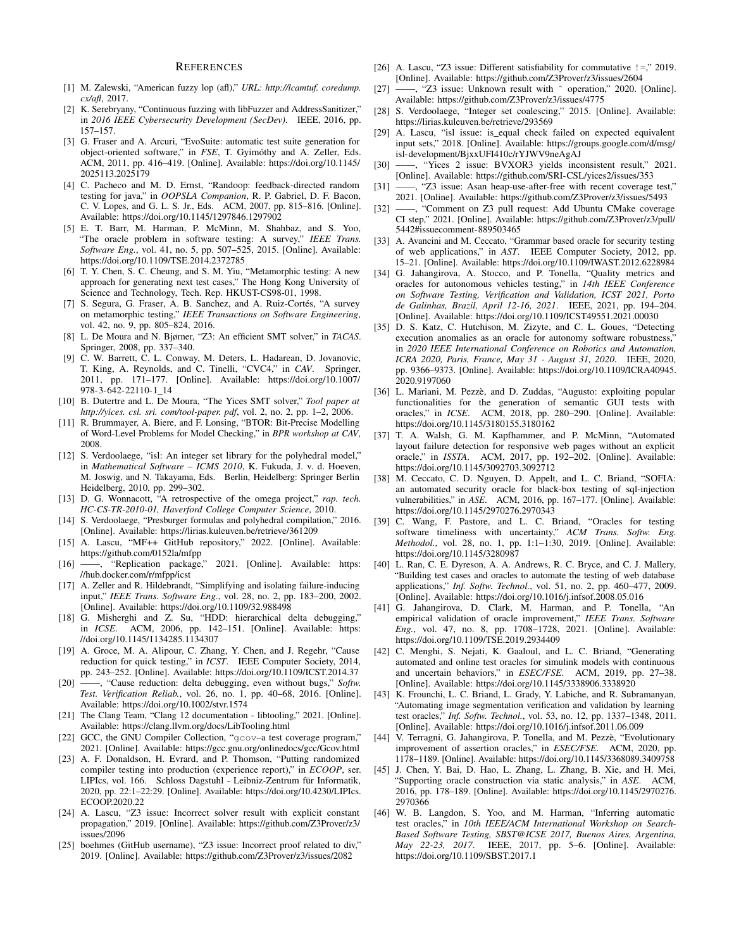## **REFERENCES**

- <span id="page-10-0"></span>[1] M. Zalewski, "American fuzzy lop (afl)," *URL: http://lcamtuf. coredump. cx/afl*, 2017.
- <span id="page-10-1"></span>[2] K. Serebryany, "Continuous fuzzing with libFuzzer and AddressSanitizer," in *2016 IEEE Cybersecurity Development (SecDev)*. IEEE, 2016, pp. 157–157.
- <span id="page-10-2"></span>[3] G. Fraser and A. Arcuri, "EvoSuite: automatic test suite generation for object-oriented software," in *FSE*, T. Gyimóthy and A. Zeller, Eds. ACM, 2011, pp. 416–419. [Online]. Available: [https://doi.org/10.1145/](https://doi.org/10.1145/2025113.2025179) [2025113.2025179](https://doi.org/10.1145/2025113.2025179)
- <span id="page-10-3"></span>[4] C. Pacheco and M. D. Ernst, "Randoop: feedback-directed random testing for java," in *OOPSLA Companion*, R. P. Gabriel, D. F. Bacon, C. V. Lopes, and G. L. S. Jr., Eds. ACM, 2007, pp. 815–816. [Online]. Available:<https://doi.org/10.1145/1297846.1297902>
- <span id="page-10-4"></span>[5] E. T. Barr, M. Harman, P. McMinn, M. Shahbaz, and S. Yoo, "The oracle problem in software testing: A survey," *IEEE Trans. Software Eng.*, vol. 41, no. 5, pp. 507–525, 2015. [Online]. Available: <https://doi.org/10.1109/TSE.2014.2372785>
- <span id="page-10-5"></span>[6] T. Y. Chen, S. C. Cheung, and S. M. Yiu, "Metamorphic testing: A new approach for generating next test cases," The Hong Kong University of Science and Technology, Tech. Rep. HKUST-CS98-01, 1998.
- <span id="page-10-6"></span>[7] S. Segura, G. Fraser, A. B. Sanchez, and A. Ruiz-Cortés, "A survey on metamorphic testing," *IEEE Transactions on Software Engineering*, vol. 42, no. 9, pp. 805–824, 2016.
- <span id="page-10-7"></span>[8] L. De Moura and N. Bjørner, "Z3: An efficient SMT solver," in *TACAS*. Springer, 2008, pp. 337–340.
- <span id="page-10-8"></span>[9] C. W. Barrett, C. L. Conway, M. Deters, L. Hadarean, D. Jovanovic, T. King, A. Reynolds, and C. Tinelli, "CVC4," in *CAV*. Springer, 2011, pp. 171–177. [Online]. Available: [https://doi.org/10.1007/](https://doi.org/10.1007/978-3-642-22110-1_14) [978-3-642-22110-1\\_14](https://doi.org/10.1007/978-3-642-22110-1_14)
- <span id="page-10-9"></span>[10] B. Dutertre and L. De Moura, "The Yices SMT solver," *Tool paper at http://yices. csl. sri. com/tool-paper. pdf*, vol. 2, no. 2, pp. 1–2, 2006.
- <span id="page-10-10"></span>[11] R. Brummayer, A. Biere, and F. Lonsing, "BTOR: Bit-Precise Modelling of Word-Level Problems for Model Checking," in *BPR workshop at CAV*, 2008.
- <span id="page-10-11"></span>[12] S. Verdoolaege, "isl: An integer set library for the polyhedral model," in *Mathematical Software – ICMS 2010*, K. Fukuda, J. v. d. Hoeven, M. Joswig, and N. Takayama, Eds. Berlin, Heidelberg: Springer Berlin Heidelberg, 2010, pp. 299–302.
- <span id="page-10-12"></span>[13] D. G. Wonnacott, "A retrospective of the omega project," rap. tech. *HC-CS-TR-2010-01, Haverford College Computer Science*, 2010.
- <span id="page-10-13"></span>[14] S. Verdoolaege, "Presburger formulas and polyhedral compilation," 2016. [Online]. Available:<https://lirias.kuleuven.be/retrieve/361209>
- <span id="page-10-14"></span>[15] A. Lascu, "MF++ GitHub repository," 2022. [Online]. Available: <https://github.com/0152la/mfpp>
- <span id="page-10-15"></span>[16] ——, "Replication package," 2021. [Online]. Available: [https:](https://hub.docker.com/r/mfpp/icst) [//hub.docker.com/r/mfpp/icst](https://hub.docker.com/r/mfpp/icst)
- <span id="page-10-16"></span>[17] A. Zeller and R. Hildebrandt, "Simplifying and isolating failure-inducing input," *IEEE Trans. Software Eng.*, vol. 28, no. 2, pp. 183–200, 2002. [Online]. Available:<https://doi.org/10.1109/32.988498>
- <span id="page-10-17"></span>[18] G. Misherghi and Z. Su, "HDD: hierarchical delta debugging," in *ICSE*. ACM, 2006, pp. 142–151. [Online]. Available: [https:](https://doi.org/10.1145/1134285.1134307) [//doi.org/10.1145/1134285.1134307](https://doi.org/10.1145/1134285.1134307)
- <span id="page-10-18"></span>[19] A. Groce, M. A. Alipour, C. Zhang, Y. Chen, and J. Regehr, "Cause reduction for quick testing," in *ICST*. IEEE Computer Society, 2014, pp. 243–252. [Online]. Available:<https://doi.org/10.1109/ICST.2014.37>
- <span id="page-10-19"></span>[20] ——, "Cause reduction: delta debugging, even without bugs," *Softw. Test. Verification Reliab.*, vol. 26, no. 1, pp. 40–68, 2016. [Online]. Available:<https://doi.org/10.1002/stvr.1574>
- <span id="page-10-20"></span>[21] The Clang Team, "Clang 12 documentation - libtooling," 2021. [Online]. Available:<https://clang.llvm.org/docs/LibTooling.html>
- <span id="page-10-21"></span>[22] GCC, the GNU Compiler Collection, "gcov-a test coverage program," 2021. [Online]. Available:<https://gcc.gnu.org/onlinedocs/gcc/Gcov.html>
- <span id="page-10-22"></span>[23] A. F. Donaldson, H. Evrard, and P. Thomson, "Putting randomized compiler testing into production (experience report)," in *ECOOP*, ser. LIPIcs, vol. 166. Schloss Dagstuhl - Leibniz-Zentrum für Informatik, 2020, pp. 22:1–22:29. [Online]. Available: [https://doi.org/10.4230/LIPIcs.](https://doi.org/10.4230/LIPIcs.ECOOP.2020.22) [ECOOP.2020.22](https://doi.org/10.4230/LIPIcs.ECOOP.2020.22)
- <span id="page-10-23"></span>[24] A. Lascu, "Z3 issue: Incorrect solver result with explicit constant propagation," 2019. [Online]. Available: [https://github.com/Z3Prover/z3/](https://github.com/Z3Prover/z3/issues/2096) [issues/2096](https://github.com/Z3Prover/z3/issues/2096)
- <span id="page-10-24"></span>[25] boehmes (GitHub username), "Z3 issue: Incorrect proof related to div," 2019. [Online]. Available:<https://github.com/Z3Prover/z3/issues/2082>
- <span id="page-10-25"></span>[26] A. Lascu, "Z3 issue: Different satisfiability for commutative !=," 2019. [Online]. Available:<https://github.com/Z3Prover/z3/issues/2604>
- <span id="page-10-26"></span>[27] ——, "Z3 issue: Unknown result with  $\hat{ }$  operation," 2020. [Online]. Available:<https://github.com/Z3Prover/z3/issues/4775>
- <span id="page-10-27"></span>[28] S. Verdoolaege, "Integer set coalescing," 2015. [Online]. Available: <https://lirias.kuleuven.be/retrieve/293569>
- <span id="page-10-28"></span>[29] A. Lascu, "isl issue: is\_equal check failed on expected equivalent input sets," 2018. [Online]. Available: [https://groups.google.com/d/msg/](https://groups.google.com/d/msg/isl-development/BjxxUFI410c/rYJWV9neAgAJ) [isl-development/BjxxUFI410c/rYJWV9neAgAJ](https://groups.google.com/d/msg/isl-development/BjxxUFI410c/rYJWV9neAgAJ)
- <span id="page-10-29"></span>[30] ——, "Yices 2 issue: BVXOR3 yields inconsistent result," 2021. [Online]. Available:<https://github.com/SRI-CSL/yices2/issues/353>
- <span id="page-10-30"></span>[31] ——, "Z3 issue: Asan heap-use-after-free with recent coverage test," 2021. [Online]. Available:<https://github.com/Z3Prover/z3/issues/5493>
- <span id="page-10-31"></span>[32] ——, "Comment on Z3 pull request: Add Ubuntu CMake coverage CI step," 2021. [Online]. Available: [https://github.com/Z3Prover/z3/pull/](https://github.com/Z3Prover/z3/pull/5442#issuecomment-889503465) [5442#issuecomment-889503465](https://github.com/Z3Prover/z3/pull/5442#issuecomment-889503465)
- <span id="page-10-32"></span>[33] A. Avancini and M. Ceccato, "Grammar based oracle for security testing of web applications," in *AST*. IEEE Computer Society, 2012, pp. 15–21. [Online]. Available:<https://doi.org/10.1109/IWAST.2012.6228984>
- <span id="page-10-33"></span>[34] G. Jahangirova, A. Stocco, and P. Tonella, "Quality metrics and oracles for autonomous vehicles testing," in *14th IEEE Conference on Software Testing, Verification and Validation, ICST 2021, Porto de Galinhas, Brazil, April 12-16, 2021*. IEEE, 2021, pp. 194–204. [Online]. Available:<https://doi.org/10.1109/ICST49551.2021.00030>
- <span id="page-10-34"></span>[35] D. S. Katz, C. Hutchison, M. Zizyte, and C. L. Goues, "Detecting execution anomalies as an oracle for autonomy software robustness, in *2020 IEEE International Conference on Robotics and Automation, ICRA 2020, Paris, France, May 31 - August 31, 2020*. IEEE, 2020, pp. 9366–9373. [Online]. Available: [https://doi.org/10.1109/ICRA40945.](https://doi.org/10.1109/ICRA40945.2020.9197060) [2020.9197060](https://doi.org/10.1109/ICRA40945.2020.9197060)
- <span id="page-10-35"></span>[36] L. Mariani, M. Pezzè, and D. Zuddas, "Augusto: exploiting popular functionalities for the generation of semantic GUI tests with oracles," in *ICSE*. ACM, 2018, pp. 280–290. [Online]. Available: <https://doi.org/10.1145/3180155.3180162>
- <span id="page-10-36"></span>[37] T. A. Walsh, G. M. Kapfhammer, and P. McMinn, "Automated layout failure detection for responsive web pages without an explicit oracle," in *ISSTA*. ACM, 2017, pp. 192–202. [Online]. Available: <https://doi.org/10.1145/3092703.3092712>
- <span id="page-10-37"></span>[38] M. Ceccato, C. D. Nguyen, D. Appelt, and L. C. Briand, "SOFIA: an automated security oracle for black-box testing of sql-injection vulnerabilities," in *ASE*. ACM, 2016, pp. 167–177. [Online]. Available: <https://doi.org/10.1145/2970276.2970343>
- <span id="page-10-38"></span>[39] C. Wang, F. Pastore, and L. C. Briand, "Oracles for testing software timeliness with uncertainty," *ACM Trans. Softw. Eng. Methodol.*, vol. 28, no. 1, pp. 1:1–1:30, 2019. [Online]. Available: <https://doi.org/10.1145/3280987>
- <span id="page-10-39"></span>[40] L. Ran, C. E. Dyreson, A. A. Andrews, R. C. Bryce, and C. J. Mallery, "Building test cases and oracles to automate the testing of web database applications," *Inf. Softw. Technol.*, vol. 51, no. 2, pp. 460–477, 2009. [Online]. Available:<https://doi.org/10.1016/j.infsof.2008.05.016>
- <span id="page-10-40"></span>[41] G. Jahangirova, D. Clark, M. Harman, and P. Tonella, "An empirical validation of oracle improvement," *IEEE Trans. Software Eng.*, vol. 47, no. 8, pp. 1708–1728, 2021. [Online]. Available: <https://doi.org/10.1109/TSE.2019.2934409>
- <span id="page-10-41"></span>[42] C. Menghi, S. Nejati, K. Gaaloul, and L. C. Briand, "Generating automated and online test oracles for simulink models with continuous and uncertain behaviors," in *ESEC/FSE*. ACM, 2019, pp. 27–38. [Online]. Available:<https://doi.org/10.1145/3338906.3338920>
- <span id="page-10-42"></span>[43] K. Frounchi, L. C. Briand, L. Grady, Y. Labiche, and R. Subramanyan, "Automating image segmentation verification and validation by learning test oracles," *Inf. Softw. Technol.*, vol. 53, no. 12, pp. 1337–1348, 2011. [Online]. Available:<https://doi.org/10.1016/j.infsof.2011.06.009>
- <span id="page-10-43"></span>[44] V. Terragni, G. Jahangirova, P. Tonella, and M. Pezzè, "Evolutionary improvement of assertion oracles," in *ESEC/FSE*. ACM, 2020, pp. 1178–1189. [Online]. Available:<https://doi.org/10.1145/3368089.3409758>
- <span id="page-10-44"></span>[45] J. Chen, Y. Bai, D. Hao, L. Zhang, L. Zhang, B. Xie, and H. Mei, "Supporting oracle construction via static analysis," in *ASE*. ACM, 2016, pp. 178–189. [Online]. Available: [https://doi.org/10.1145/2970276.](https://doi.org/10.1145/2970276.2970366) [2970366](https://doi.org/10.1145/2970276.2970366)
- <span id="page-10-45"></span>[46] W. B. Langdon, S. Yoo, and M. Harman, "Inferring automatic test oracles," in *10th IEEE/ACM International Workshop on Search-Based Software Testing, SBST@ICSE 2017, Buenos Aires, Argentina, May 22-23, 2017*. IEEE, 2017, pp. 5–6. [Online]. Available: <https://doi.org/10.1109/SBST.2017.1>